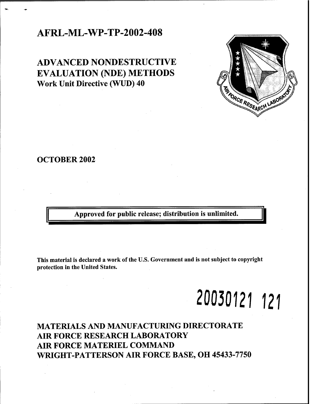### **AFRL-ML-WP-TP-2002-408**

**ADVANCED NONDESTRUCTIVE EVALUATION (NDE) METHODS Work Unit Directive (WUD) 40**



Approved for public release; distribution is unlimited.

This material is declared a work of the U.S. Government and is not subject to copyright protection in the United States.

# **20030121 121**

## **MATERIALS AND MANUFACTURING DIRECTORATE AIR FORCE RESEARCH LABORATORY AIR FORCE MATERIEL COMMAND WRIGHT-PATTERSON AIR FORCE BASE, OH 45433-7750**

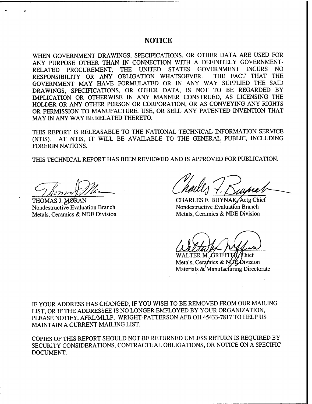#### NOTICE

WHEN GOVERNMENT DRAWINGS, SPECIFICATIONS, OR OTHER DATA ARE USED FOR ANY PURPOSE OTHER THAN IN CONNECTION WITH A DEFINITELY GOVERNMENT-RELATED PROCUREMENT, THE UNITED STATES GOVERNMENT INCURS NO<br>RESPONSIBILITY OR ANY OBLIGATION WHATSOEVER. THE FACT THAT THE RESPONSIBILITY OR ANY OBLIGATION WHATSOEVER. GOVERNMENT MAY HAVE FORMULATED OR IN ANY WAY SUPPLIED THE SAID DRAWINGS, SPECIFICATIONS, OR OTHER DATA, IS NOT TO BE REGARDED BY IMPLICATION OR OTHERWISE IN ANY MANNER CONSTRUED, AS LICENSING THE HOLDER OR ANY OTHER PERSON OR CORPORATION, OR AS CONVEYING ANY RIGHTS OR PERMISSION TO MANUFACTURE, USE, OR SELL ANY PATENTED INVENTION THAT MAY IN ANY WAY BE RELATED THERETO.

THIS REPORT IS RELEASABLE TO THE NATIONAL TECHNICAL INFORMATION SERVICE (NTIS). AT NTIS, IT WILL BE AVAILABLE TO THE GENERAL PUBLIC, INCLUDING FOREIGN NATIONS.

THIS TECHNICAL REPORT HAS BEEN REVIEWED AND IS APPROVED FOR PUBLICATION.

THOMAS J. MØRAN Nondestructive Evaluation Branch Metals, Ceramics & NDE Division

CHARLES F. BUYNAK/Actg Chief Nondestructive Evaluation Branch Metals, Ceramics & NDE Division

WALTER M. GRIFFITA Chief Metals, Ceramics & NDE Division Materials & Manufacturing Directorate

IF YOUR ADDRESS HAS CHANGED, IF YOU WISH TO BE REMOVED FROM OUR MAILING LIST, OR IF THE ADDRESSEE IS NO LONGER EMPLOYED BY YOUR ORGANIZATION, PLEASE NOTIFY, AFRL/MLLP, WRIGHT-PATTERSON AFB OH 45433-7817 TO HELP US MAINTAIN A CURRENT MAILING LIST.

COPIES OF THIS REPORT SHOULD NOT BE RETURNED UNLESS RETURN IS REQUIRED BY SECURITY CONSIDERATIONS, CONTRACTUAL OBLIGATIONS, OR NOTICE ON A SPECIFIC DOCUMENT.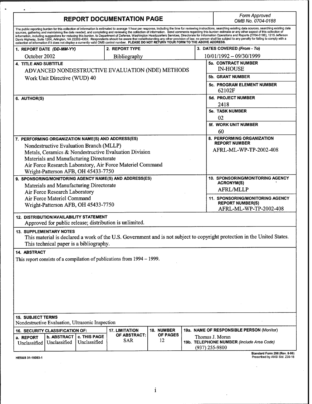| <b>REPORT DOCUMENTATION PAGE</b>                                                                                                                                                                                                                                                                                                                      |                            |                   | Form Approved<br>OMB No. 0704-0188 |                                                                                                                                                                                                                                                                                                                                                                                                                                                                                                                                                                                                                                            |
|-------------------------------------------------------------------------------------------------------------------------------------------------------------------------------------------------------------------------------------------------------------------------------------------------------------------------------------------------------|----------------------------|-------------------|------------------------------------|--------------------------------------------------------------------------------------------------------------------------------------------------------------------------------------------------------------------------------------------------------------------------------------------------------------------------------------------------------------------------------------------------------------------------------------------------------------------------------------------------------------------------------------------------------------------------------------------------------------------------------------------|
| sources, gathering and maintaining the data needed, and completing and reviewing the collection of information. Send comments regarding this burden estimate or any other aspect of this collection of<br>collection of information if it does not display a currently valid OMB control number. PLEASE DO NOT RETURN YOUR FORM TO THE ABOVE ADDRESS. |                            |                   |                                    | The public reporting burden for this collection of information is estimated to average 1 hour per response, including the time for reviewing instructions, searching existing data sources, searching existing data<br>information, including suggestions for reducing this burden, to Department of Defense, Washington Headquarters Services, Directorate for information Operations and Reports (0704-0188), 1215 Jefferson<br>Davis Highway, Suite 1204, Arlington, VA 22202-4302. Respondents should be aware that notwithstanding any other provision of law, no person shall be subject to any penalty for failing to comply with a |
| 1. REPORT DATE (DD-MM-YY)                                                                                                                                                                                                                                                                                                                             | 2. REPORT TYPE             |                   |                                    | 3. DATES COVERED (From - To)                                                                                                                                                                                                                                                                                                                                                                                                                                                                                                                                                                                                               |
| October 2002                                                                                                                                                                                                                                                                                                                                          | Bibliography               |                   |                                    | 10/01/1992 - 09/30/1999                                                                                                                                                                                                                                                                                                                                                                                                                                                                                                                                                                                                                    |
| <b>4. TITLE AND SUBTITLE</b>                                                                                                                                                                                                                                                                                                                          |                            |                   |                                    | 5a. CONTRACT NUMBER                                                                                                                                                                                                                                                                                                                                                                                                                                                                                                                                                                                                                        |
| ADVANCED NONDESTRUCTIVE EVALUATION (NDE) METHODS<br>Work Unit Directive (WUD) 40                                                                                                                                                                                                                                                                      |                            |                   | <b>IN-HOUSE</b>                    |                                                                                                                                                                                                                                                                                                                                                                                                                                                                                                                                                                                                                                            |
|                                                                                                                                                                                                                                                                                                                                                       |                            |                   | 5b. GRANT NUMBER                   |                                                                                                                                                                                                                                                                                                                                                                                                                                                                                                                                                                                                                                            |
|                                                                                                                                                                                                                                                                                                                                                       |                            |                   |                                    | <b>5c. PROGRAM ELEMENT NUMBER</b><br>62102F                                                                                                                                                                                                                                                                                                                                                                                                                                                                                                                                                                                                |
| 6. AUTHOR(S)                                                                                                                                                                                                                                                                                                                                          |                            |                   |                                    | 5d. PROJECT NUMBER                                                                                                                                                                                                                                                                                                                                                                                                                                                                                                                                                                                                                         |
|                                                                                                                                                                                                                                                                                                                                                       |                            |                   |                                    | 2418                                                                                                                                                                                                                                                                                                                                                                                                                                                                                                                                                                                                                                       |
|                                                                                                                                                                                                                                                                                                                                                       |                            |                   |                                    | <b>5e. TASK NUMBER</b>                                                                                                                                                                                                                                                                                                                                                                                                                                                                                                                                                                                                                     |
|                                                                                                                                                                                                                                                                                                                                                       |                            |                   |                                    | 02                                                                                                                                                                                                                                                                                                                                                                                                                                                                                                                                                                                                                                         |
|                                                                                                                                                                                                                                                                                                                                                       |                            |                   |                                    | <b>5f. WORK UNIT NUMBER</b>                                                                                                                                                                                                                                                                                                                                                                                                                                                                                                                                                                                                                |
|                                                                                                                                                                                                                                                                                                                                                       |                            |                   |                                    | 60                                                                                                                                                                                                                                                                                                                                                                                                                                                                                                                                                                                                                                         |
| 7. PERFORMING ORGANIZATION NAME(S) AND ADDRESS(ES)                                                                                                                                                                                                                                                                                                    |                            |                   |                                    | 8. PERFORMING ORGANIZATION<br><b>REPORT NUMBER</b>                                                                                                                                                                                                                                                                                                                                                                                                                                                                                                                                                                                         |
| Nondestructive Evaluation Branch (MLLP)                                                                                                                                                                                                                                                                                                               |                            |                   |                                    | AFRL-ML-WP-TP-2002-408                                                                                                                                                                                                                                                                                                                                                                                                                                                                                                                                                                                                                     |
| Metals, Ceramics & Nondestructive Evaluation Division                                                                                                                                                                                                                                                                                                 |                            |                   |                                    |                                                                                                                                                                                                                                                                                                                                                                                                                                                                                                                                                                                                                                            |
| Materials and Manufacturing Directorate                                                                                                                                                                                                                                                                                                               |                            |                   |                                    |                                                                                                                                                                                                                                                                                                                                                                                                                                                                                                                                                                                                                                            |
| Air Force Research Laboratory, Air Force Materiel Command                                                                                                                                                                                                                                                                                             |                            |                   |                                    |                                                                                                                                                                                                                                                                                                                                                                                                                                                                                                                                                                                                                                            |
| Wright-Patterson AFB, OH 45433-7750                                                                                                                                                                                                                                                                                                                   |                            |                   |                                    | 10. SPONSORING/MONITORING AGENCY                                                                                                                                                                                                                                                                                                                                                                                                                                                                                                                                                                                                           |
| 9. SPONSORING/MONITORING AGENCY NAME(S) AND ADDRESS(ES)                                                                                                                                                                                                                                                                                               |                            |                   |                                    | <b>ACRONYM(S)</b>                                                                                                                                                                                                                                                                                                                                                                                                                                                                                                                                                                                                                          |
| Materials and Manufacturing Directorate<br>Air Force Research Laboratory                                                                                                                                                                                                                                                                              |                            |                   |                                    | <b>AFRL/MLLP</b>                                                                                                                                                                                                                                                                                                                                                                                                                                                                                                                                                                                                                           |
| Air Force Materiel Command                                                                                                                                                                                                                                                                                                                            |                            |                   |                                    | <b>11. SPONSORING/MONITORING AGENCY</b>                                                                                                                                                                                                                                                                                                                                                                                                                                                                                                                                                                                                    |
| Wright-Patterson AFB, OH 45433-7750                                                                                                                                                                                                                                                                                                                   |                            |                   |                                    | <b>REPORT NUMBER(S)</b><br>AFRL-ML-WP-TP-2002-408                                                                                                                                                                                                                                                                                                                                                                                                                                                                                                                                                                                          |
| 12. DISTRIBUTION/AVAILABILITY STATEMENT<br>Approved for public release; distribution is unlimited.                                                                                                                                                                                                                                                    |                            |                   |                                    |                                                                                                                                                                                                                                                                                                                                                                                                                                                                                                                                                                                                                                            |
| <b>13. SUPPLEMENTARY NOTES</b><br>This technical paper is a bibliography.                                                                                                                                                                                                                                                                             |                            |                   |                                    | This material is declared a work of the U.S. Government and is not subject to copyright protection in the United States.                                                                                                                                                                                                                                                                                                                                                                                                                                                                                                                   |
| 14. ABSTRACT                                                                                                                                                                                                                                                                                                                                          |                            |                   |                                    |                                                                                                                                                                                                                                                                                                                                                                                                                                                                                                                                                                                                                                            |
| This report consists of a compilation of publications from 1994 - 1999.                                                                                                                                                                                                                                                                               |                            |                   |                                    |                                                                                                                                                                                                                                                                                                                                                                                                                                                                                                                                                                                                                                            |
|                                                                                                                                                                                                                                                                                                                                                       |                            |                   |                                    |                                                                                                                                                                                                                                                                                                                                                                                                                                                                                                                                                                                                                                            |
|                                                                                                                                                                                                                                                                                                                                                       |                            |                   |                                    |                                                                                                                                                                                                                                                                                                                                                                                                                                                                                                                                                                                                                                            |
|                                                                                                                                                                                                                                                                                                                                                       |                            |                   |                                    |                                                                                                                                                                                                                                                                                                                                                                                                                                                                                                                                                                                                                                            |
|                                                                                                                                                                                                                                                                                                                                                       |                            |                   |                                    |                                                                                                                                                                                                                                                                                                                                                                                                                                                                                                                                                                                                                                            |
|                                                                                                                                                                                                                                                                                                                                                       |                            |                   |                                    |                                                                                                                                                                                                                                                                                                                                                                                                                                                                                                                                                                                                                                            |
|                                                                                                                                                                                                                                                                                                                                                       |                            |                   |                                    |                                                                                                                                                                                                                                                                                                                                                                                                                                                                                                                                                                                                                                            |
|                                                                                                                                                                                                                                                                                                                                                       |                            |                   |                                    |                                                                                                                                                                                                                                                                                                                                                                                                                                                                                                                                                                                                                                            |
|                                                                                                                                                                                                                                                                                                                                                       |                            |                   |                                    |                                                                                                                                                                                                                                                                                                                                                                                                                                                                                                                                                                                                                                            |
|                                                                                                                                                                                                                                                                                                                                                       |                            |                   |                                    |                                                                                                                                                                                                                                                                                                                                                                                                                                                                                                                                                                                                                                            |
|                                                                                                                                                                                                                                                                                                                                                       | <b>17. LIMITATION</b>      | <b>18. NUMBER</b> |                                    |                                                                                                                                                                                                                                                                                                                                                                                                                                                                                                                                                                                                                                            |
| <b>15. SUBJECT TERMS</b><br>Nondestructive Evaluation, Ultrasonic Inspection<br>16. SECURITY CLASSIFICATION OF:<br>c. THIS PAGE<br><b>b. ABSTRACT</b><br>a. REPORT<br>Unclassified<br>Unclassified<br>Unclassified                                                                                                                                    | OF ABSTRACT:<br><b>SAR</b> | OF PAGES<br>12    |                                    | 19a. NAME OF RESPONSIBLE PERSON (Monitor)<br>Thomas J. Moran<br>19b. TELEPHONE NUMBER (Include Area Code)                                                                                                                                                                                                                                                                                                                                                                                                                                                                                                                                  |

**HES&S 31-15093-1**

 $\mathcal{L}_{\mathbf{a}}$ 

**Standard Form 298 (Rev. 8-98)** Prescribed by ANSI Std. Z39-18

 $\bar{\beta}$ 

 $\mathcal{L}$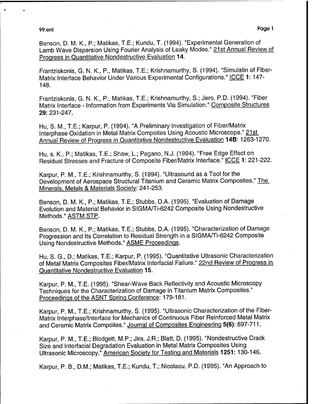99.enl Page <sup>1</sup>

Benson, D. M. K., P.; Matikas, T.E.; Kundu, T. (1994). "Experimental Generation of Lamb Wave Dispersion Using Fourier Analysis of Leaky Modes." 21st Annual Review of Progress in Quantitative Nondestructive Evaluation 14.

Frantziskonis, G. N. K., P., Matikas, T.E.; Krishnamurthy, S. (1994). "Simulatin of Fiber-Matrix Interface Behavior Under Various Experimental Configurations." ICCE 1: 147-148.

Frantziskonis, G. N. K., P., Matikas, T.E.; Krishnamurthy, S.; Jero, P.D. (1994). "Fiber Matrix Interface - Information from Experiments Via Simulation." Composite Structures 29:231-247.

Hu, S. M., T.E.; Karpur, P. (1994). "A Preliminary Investigation of Fiber/Matrix Interphase Oxidation in Metal Matrix Compoites Using Acoustic Microscope." 21st Annual Review of Progress in Quantitative Nondestructive Evaluation **14B:** 1263-1270.

Hu, s. K., P.; Matikas, T.E.; Shaw, L; Pagano, N.J. (1994). "Free Edge Effect on Residual Stresses and Fracture of Composite Fiber/Matrix Interface." ICCE 1: 221-222.

Karpur, P. M., T.E.; Krishnamurthy, S. (1994). "Ultrasound as a Tool for the Development of Aerospace Structural Titanium and Ceramic Matrix Composites." The Minerals. Metals & Materials Society: 241-253.

Benson, D. M. K., P.; Matikas, T.E.; Stubbs, D.A. (1995). "Evaluation of Damage Evolution and Material Behavior in SIGMA/Ti-6242 Composite Using Nondestructive Methods." ASTM STP.

Benson, D. M. K., P.; Matikas, T.E.; Stubbs, D.A. (1995). "Characterization of Damage Progression and Its Correlation to Residual Strength in a SIGMA/Ti-6242 Composite Using Nondestructive Methods." ASME Proceedings.

Hu, S. G., D.; Matikas, T.E.; Karpur, P. (1995). "Quantitative Ultrasonic Characterization of Metal Matrix Composites Fiber/Matrix Interfacial Failure." 22nd Review of Progress in Quantitative Nondestructive Evaluation **15.**

Karpur, P. M., T.E. (1995). "Shear-Wave Back Reflectivity and Acoustic Microscopy Techniques for the Characterization of Damage in Titanium Matrix Composites." Proceedings of the ASNT Spring Conference: 179-181.

Karpur, P. M., T.E.; Krishnamurthy, S. (1995). "Ultrasonic Characterization of the Fiber-Matrix Interphase/lnterface for Mechanics of Continuous Fiber Reinforced Metal Matrix and Ceramic Matrix Compoites." Journal of Composites Engineering 5(6): 697-711.

Karpur, P. M., T.E.; Blodgett, M.P.; Jira, J.R.; Blatt, D. (1995). "Nondestructive Crack Size and Interfacial Degradation Evaluation in Metal Matrix Composites Using Ultrasonic Microscopy." American Society for Testing and Materials **1251:** 130-146.

Karpur, P. B., D.M.; Matikas, T.E.; Kundu, T.; Nicolaou, P.D. (1995). "An Approach to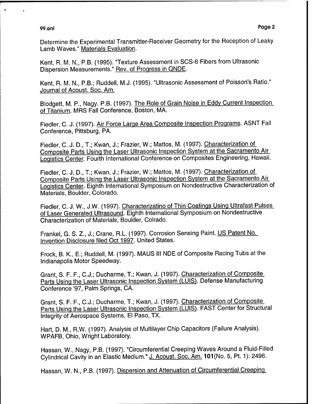99.enl Page 2 | Page 2 | Page 2 | Page 2 | Page 2 | Page 2 | Page 2 | Page 2 | Page 2 | Page 2 | Page 2 | Page

Determine the Experimental Transmitter-Receiver Geometry for the Reception of Leaky Lamb Waves." Materials Evaluation.

Kent, R. M. N., P.B. (1995). "Texture Assessment in SCS-6 Fibers from Ultrasonic Dispersion Measurements." Rev. of Progress in QNDE.

Kent, R. M. N., P.B.; Ruddell, M.J. (1995). "Ultrasonic Assessment of Poisson's Ratio." Journal of Acoust. Soc. Am.

Blodgett, M. P., Nagy. P.B. (1997). The Role of Grain Noise in Eddv Current Inspection of Titanium. MRS Fall Conference, Boston, MA.

Fiedler, C. J. (1997). Air Force Large Area Composite Inspection Programs. ASNT Fall Conference, Pittsburg, PA.

Fiedler, C. J. D., T.; Kwan, J.; Frazier, W.; Mattos, M. (1997). Characterization of Composite Parts Using the Laser Ultrasonic Inspection System at the Sacramento Air Logistics Center. Fourth International Conference on Composites Engineering, Hawaii.

Fiedler, C. J. D., T.; Kwan, J.; Frazier, W.; Mattos, M. (1997). Characterization of Composite Parts Using the Laser Ultrasonic Inspection System at the Sacramento Air Logistics Center. Eighth International Symposium on Nondestructive Characterization of Materials, Boulder, Colorado.

Fiedler, C. J. W., J.W. (1997). Characterizatino of Thin Coatings Using Ultrafast Pulses of Laser Generated Ultrasound. Eighth International Symposium on Nondestructive Characterization of Materials, Boulder, Colrado.

Frankel, G. S. Z., J.; Crane, R.L. (1997). Corrosion Sensing Paint. US Patent No. Invention Disclosure filed Oct 1997. United States.

Frock, B. K., E.; Ruddell, M. (1997). MAUS III NDE of Composite Racing Tubs at the Indianapolis Motor Speedway.

Grant, S. F. F., C.J.; Ducharme, T.; Kwan, J. (1997). Characterization of Composite Parts Using the Laser Ultrasonic Inspection System (LUIS). Defense Manufacturing Conference '97, Palm Springs, CA.

Grant, S. F. F., C.J.; Ducharme, T.; Kwan, J. (1997). Characterization of Composite Parts Using the Laser Ultrasonic Inspection System (LUIS). FAST Center for Structural Integrity of Aerospace Systems, El Paso, TX.

Hart, D. M., R.W. (1997). Analysis of Multilayer Chip Capacitors (Failure Analysis). WPAFB, Ohio, Wright Laboratory.

Hassan, W., Nagy, P.B. (1997). "Circumferential Creeping Waves Around a Fluid-Filled Cylindrical Cavity in an Elastic Medium." J. Acoust. Soc. Am. 101 (No. 5, Pt. 1): 2496.

Hassan, W. N., P.B. (1997). Dispersion and Attenuation of Circumferential Creeping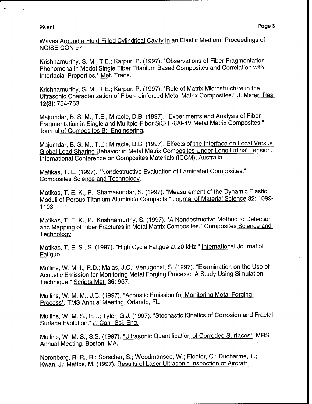eni bilan bilan bilan bilan bilan bilan bilan bilan bilan bilan bilan bilan bilan bilan bilan bilan bilan bila<br>Pag

Krishnamurthy, S. M., T.E.; Karpur, P. (1997). "Observations of Fiber Fragmentation Phenomena in Model Single Fiber Titanium Based Composites and Correlation with Interfacial Properties." Met. Trans.

Krishnamurthy, S. M., T.E.; Karpur, P. (1997). "Role of Matrix Microstructure in the Ultrasonic Characterization of Fiber-reinforced Metal Matrix Composites." J. Mater. Res. 12(3): 754-763.

Majumdar, B. S. M., T.E.; Miracle, D.B. (1997). "Experiments and Analysis of Fiber Fragmentation in Single and Mulitple-Fiber SiC/Ti-6AI-4V Metal Matrix Composites." Journal of Composites B: Engineering.

Majumdar, B. S. M., T.E.; Miracle, D.B. (1997). Effects of the Interface on Local Versus Global Load Sharing Behavior in Metal Matrix Composites Under Longitudinal Tension. International Conference on Composites Materials (ICCM), Australia.

Matikas, T. E. (1997). "Nondestructive Evaluation of Laminated Composites." Composites Science and Technology.

Matikas, T. E. K., P.; Shamasundar, S. (1997). "Measurement of the Dynamic Elastic Moduli of Porous Titanium Aluminide Compacts." Journal of Material Science 32:1099- 1103.

Matikas, T. E. K., P.; Krishnamurthy, S. (1997). "A Nondestructive Method fo Detection and Mapping of Fiber Fractures in Metal Matrix Composites." Composites Science and Technology.

Matikas, T. E. S., S. (1997). "High Cycle Fatigue at 20 kHz." International Journal of Fatigue.

Mullins, W. M. I., R.D.; Malas, J.C.; Venugopal, S. (1997). "Examination on the Use of Acoustic Emission for Monitoring Metal Forging Process: A Study Using Simulation Technique." Scripta Met. 36: 967.

Mullins, W. M. M., J.C. (1997). "Acoustic Emission for Monitoring Metal Forging Process". TMS Annual Meeting, Orlando, FL.

Mullins, W. M. S., E.J.; Tyler, G.J. (1997). "Stochastic Kinetics of Corrosion and Fractal Surface Evolution." J. Corr. Sei. Eng.

Mullins, W. M. S., S.S. (1997). "Ultrasonic Quantification of Corroded Surfaces". MRS Annual Meeting, Boston, MA.

Nerenberg, R. R., R.; Sorscher, S.; Woodmansee, W.; Fiedler, O; Ducharme, T.; Kwan, J.; Mattos, M. (1997). Results of Laser Ultrasonic Inspection of Aircraft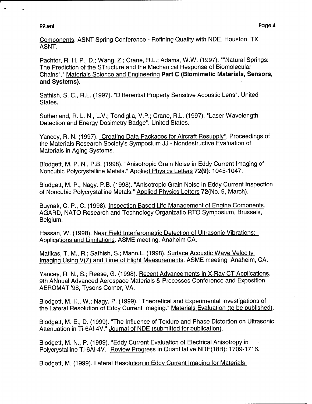#### 99.enl Page 4

Components. ASNT Spring Conference - Refining Quality with NDE, Houston, TX, ASNT.

Pachter, R. H. P., D.; Wang, Z.; Crane, R.L.; Adams, W.W. (1997). ""Natural Springs: The Prediction of the STructure and the Mechanical Response of Biomolecular Chains"." Materials Science and Engineering **Part C (Biomimetic Materials, Sensors, and Systems).**

Sathish, S. C, R.L. (1997). "Differential Property Sensitive Acoustic Lens". United States.

Sutherland, R. L. N., L.V.; Tondiglia, V.P.; Crane, R.L. (1997). "Laser Wavelength Detection and Energy Dosimetry Badge". United States.

Yancey, R. N. (1997). "Creating Data Packages for Aircraft Resupply". Proceedings of the Materials Research Society's Symposium JJ - Nondestructive Evaluation of Materials in Aging Systems.

Blodgett, M. P. N., P.B. (1998). "Anisotropie Grain Noise in Eddy Current Imaging of Noncubic Polycrystalline Metals." Applied Physics Letters **72(9):** 1045-1047.

Blodgett, M. P., Nagy. P.B. (1998). "Anisotropie Grain Noise in Eddy Current Inspection of Noncubic Polycrystalline Metals." Applied Physics Letters 72(No. 9, March).

Buynak, C. P., C. (1998). Inspection Based Life Management of Engine Comonents. AGARD, NATO Research and Technology Organizatio RTO Symposium, Brussels, Belgium.

Hassan, W. (1998). Near Field Interferometric Detection of Ultrasonic Vibrations: Applications and Limitations. ASME meeting, Anaheim CA.

Matikas, T. M., R.; Sathish, S.; Mann.L. (1998). Surface Acoustic Wave Velocity Imaging Using V(Z) and Time of Flight Measurements. ASME meeting, Anaheim, CA.

Yancey, R. N., S.; Reese, G. (1998). Recent Advancements in X-Rav CT Applications. 9th ANnual Advanced Aerospace Materials & Processes Conference and Exposition AEROMAT '98, Tysons Corner, VA.

Blodgett, M. H., W.; Nagy, P. (1999). "Theoretical and Experimental Investigations of the Lateral Resolution of Eddy Current Imaging." Materials Evaluation (to be published).

Blodgett, M. E., D. (1999). "The Influence of Texture and Phase Distortion on Ultrasonic Attenuation in Ti-6AI-4V." Journal of NDE (submitted for publication).

Blodgett, M. N., P. (1999). "Eddy Current Evaluation of Electrical Anisotropy in Polycrystalline Ti-6AI-4V." Review Progress in Quantitative NDE(18B): 1709-1716.

Blodgett, M. (1999). Lateral Resolution in Eddy Current Imaging for Materials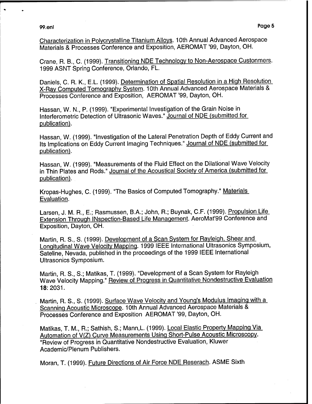99.enl Pa9

Characterization in Polvcrvstalline Titanium Alloys. 10th Annual Advanced Aerospace Materials & Processes Conference and Exposition, AEROMAT '99, Dayton, OH.

Crane, R. B., C. (1999). Transitionina NDE Technology to Non-Aerospace Custonmers. 1999 ASNT Spring Conference, Orlando, FL.

Daniels, C. R. K., E.L. (1999). Determination of Spatial Resolution in a High Resolution X-Rav Computed Tomography System. 10th Annual Advanced Aerospace Materials & Processes Conference and Exposition, AEROMAT '99, Dayton, OH.

Hassan, W. N., P. (1999). "Experimental Investigation of the Grain Noise in Interferometric Detection of Ultrasonic Waves." Journal of NDE (submitted for publication).

Hassan, W. (1999). "Investigation of the Lateral Penetration Depth of Eddy Current and Its Implications on Eddy Current Imaging Techniques." Journal of NDE (submitted for publication).

Hassan, W. (1999). "Measurements of the Fluid Effect on the Dilational Wave Velocity in Thin Plates and Rods." Journal of the Acoustical Society of America (submitted for publication).

Kropas-Hughes, C. (1999). "The Basics of Computed Tomography." Materials Evaluation.

Larsen, J. M. R., E.; Rasmussen, B.A.; John, R.; Buynak, C.F. (1999). Propulsion Life Extension Through INspection-Based Life Management. AeroMat'99 Conference and Exposition, Dayton, OH.

Martin, R. S., S. (1999). Development of a Scan System for Rayleigh, Shear and Longitudinal Wave Velocity Mapping. 1999 IEEE International Ultrasonics Symposium, Sateline, Nevada, published in the proceedings of the 1999 IEEE International Ultrasonics Symposium.

Martin, R. S., S.; Matikas, T. (1999). "Development of a Scan System for Rayleigh Wave Velocity Mapping." Review of Progress in Quantitative Nondestructive Evaluation 18:2031.

Martin, R. S., S. (1999). Surface Wave Velocity and Young's Modulus Imaging with a Scanning Acoustic Microscope. 10th Annual Advanced Aerospace Materials & Processes Conference and Exposition AEROMAT '99, Dayton, OH.

Matikas, T. M., R.; Sathish, S.; Mann.L (1999). Local Elastic Property Mapping Via Automation of V(Z) Curve Measurements Using Short-Pulse Acoustic Microscopy. "Review of Progress in Quantitative Nondestructive Evaluation, Kluwer Academic/Plenum Publishers.

Moran, T. (1999). Future Directions of Air Force NDE Reserach. ASME Sixth